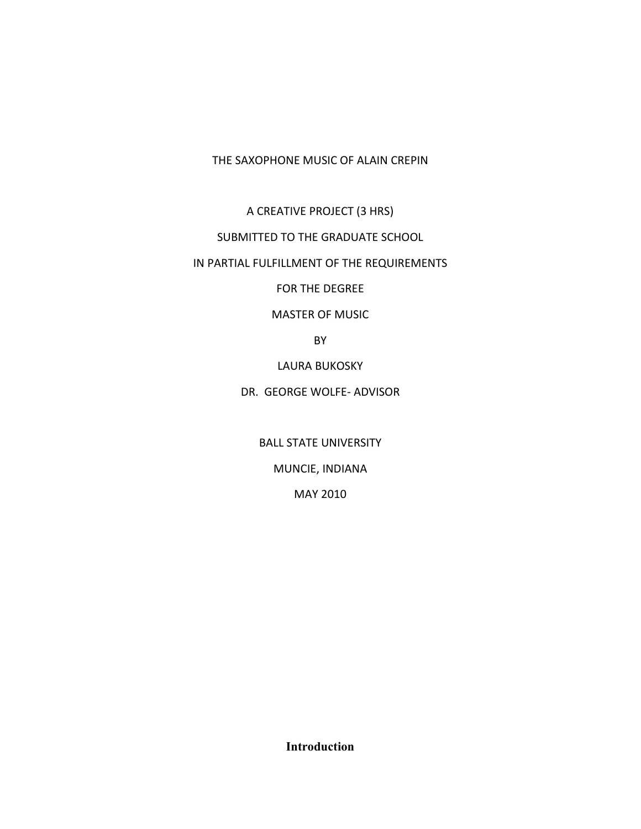THE SAXOPHONE MUSIC OF ALAIN CREPIN

A CREATIVE PROJECT (3 HRS)

SUBMITTED TO THE GRADUATE SCHOOL

IN PARTIAL FULFILLMENT OF THE REQUIREMENTS

FOR THE DEGREE

MASTER OF MUSIC

BY

LAURA BUKOSKY

DR. GEORGE WOLFE‐ ADVISOR

BALL STATE UNIVERSITY

MUNCIE, INDIANA

MAY 2010

**Introduction**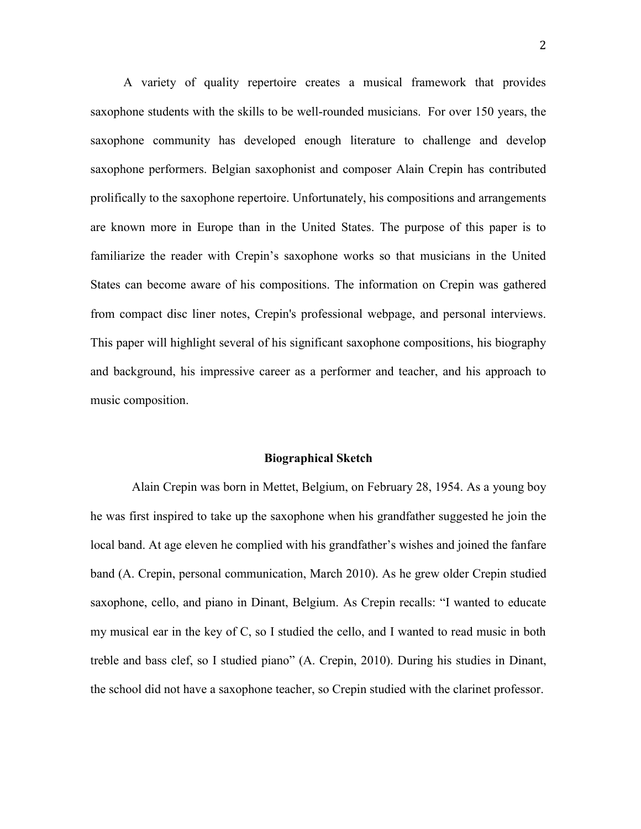A variety of quality repertoire creates a musical framework that provides saxophone students with the skills to be well-rounded musicians. For over 150 years, the saxophone community has developed enough literature to challenge and develop saxophone performers. Belgian saxophonist and composer Alain Crepin has contributed prolifically to the saxophone repertoire. Unfortunately, his compositions and arrangements are known more in Europe than in the United States. The purpose of this paper is to familiarize the reader with Crepin"s saxophone works so that musicians in the United States can become aware of his compositions. The information on Crepin was gathered from compact disc liner notes, Crepin's professional webpage, and personal interviews. This paper will highlight several of his significant saxophone compositions, his biography and background, his impressive career as a performer and teacher, and his approach to music composition.

#### **Biographical Sketch**

Alain Crepin was born in Mettet, Belgium, on February 28, 1954. As a young boy he was first inspired to take up the saxophone when his grandfather suggested he join the local band. At age eleven he complied with his grandfather's wishes and joined the fanfare band (A. Crepin, personal communication, March 2010). As he grew older Crepin studied saxophone, cello, and piano in Dinant, Belgium. As Crepin recalls: "I wanted to educate my musical ear in the key of C, so I studied the cello, and I wanted to read music in both treble and bass clef, so I studied piano" (A. Crepin, 2010). During his studies in Dinant, the school did not have a saxophone teacher, so Crepin studied with the clarinet professor.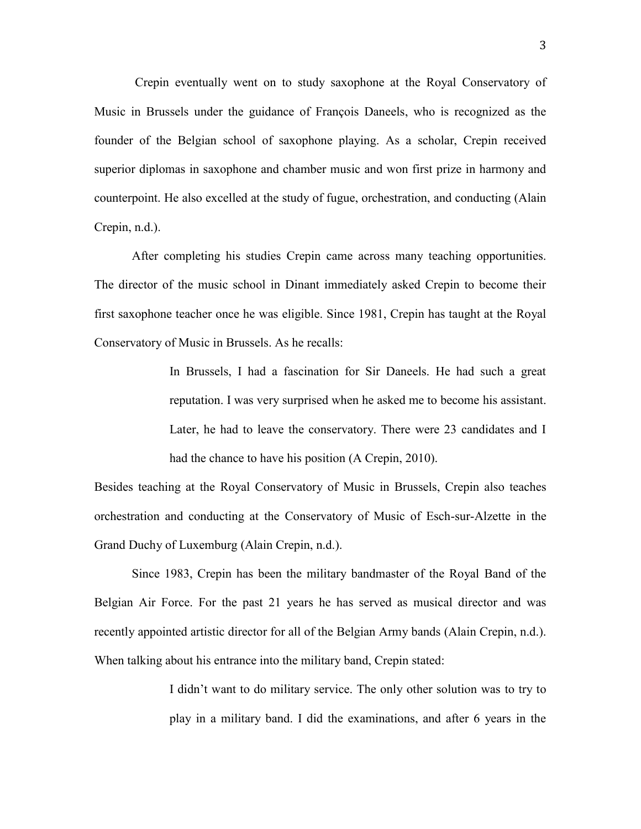Crepin eventually went on to study saxophone at the Royal Conservatory of Music in Brussels under the guidance of François Daneels, who is recognized as the founder of the Belgian school of saxophone playing. As a scholar, Crepin received superior diplomas in saxophone and chamber music and won first prize in harmony and counterpoint. He also excelled at the study of fugue, orchestration, and conducting (Alain Crepin, n.d.).

After completing his studies Crepin came across many teaching opportunities. The director of the music school in Dinant immediately asked Crepin to become their first saxophone teacher once he was eligible. Since 1981, Crepin has taught at the Royal Conservatory of Music in Brussels. As he recalls:

> In Brussels, I had a fascination for Sir Daneels. He had such a great reputation. I was very surprised when he asked me to become his assistant. Later, he had to leave the conservatory. There were 23 candidates and I had the chance to have his position (A Crepin, 2010).

Besides teaching at the Royal Conservatory of Music in Brussels, Crepin also teaches orchestration and conducting at the Conservatory of Music of Esch-sur-Alzette in the Grand Duchy of Luxemburg (Alain Crepin, n.d.).

Since 1983, Crepin has been the military bandmaster of the Royal Band of the Belgian Air Force. For the past 21 years he has served as musical director and was recently appointed artistic director for all of the Belgian Army bands (Alain Crepin, n.d.). When talking about his entrance into the military band, Crepin stated:

> I didn"t want to do military service. The only other solution was to try to play in a military band. I did the examinations, and after 6 years in the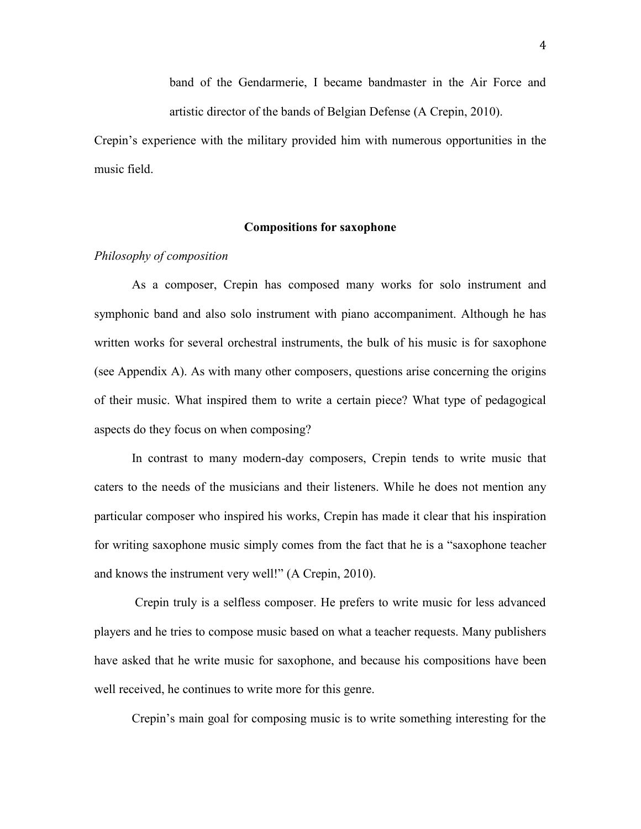band of the Gendarmerie, I became bandmaster in the Air Force and artistic director of the bands of Belgian Defense (A Crepin, 2010).

Crepin"s experience with the military provided him with numerous opportunities in the music field.

## **Compositions for saxophone**

# *Philosophy of composition*

As a composer, Crepin has composed many works for solo instrument and symphonic band and also solo instrument with piano accompaniment. Although he has written works for several orchestral instruments, the bulk of his music is for saxophone (see Appendix A). As with many other composers, questions arise concerning the origins of their music. What inspired them to write a certain piece? What type of pedagogical aspects do they focus on when composing?

In contrast to many modern-day composers, Crepin tends to write music that caters to the needs of the musicians and their listeners. While he does not mention any particular composer who inspired his works, Crepin has made it clear that his inspiration for writing saxophone music simply comes from the fact that he is a "saxophone teacher and knows the instrument very well!" (A Crepin, 2010).

Crepin truly is a selfless composer. He prefers to write music for less advanced players and he tries to compose music based on what a teacher requests. Many publishers have asked that he write music for saxophone, and because his compositions have been well received, he continues to write more for this genre.

Crepin"s main goal for composing music is to write something interesting for the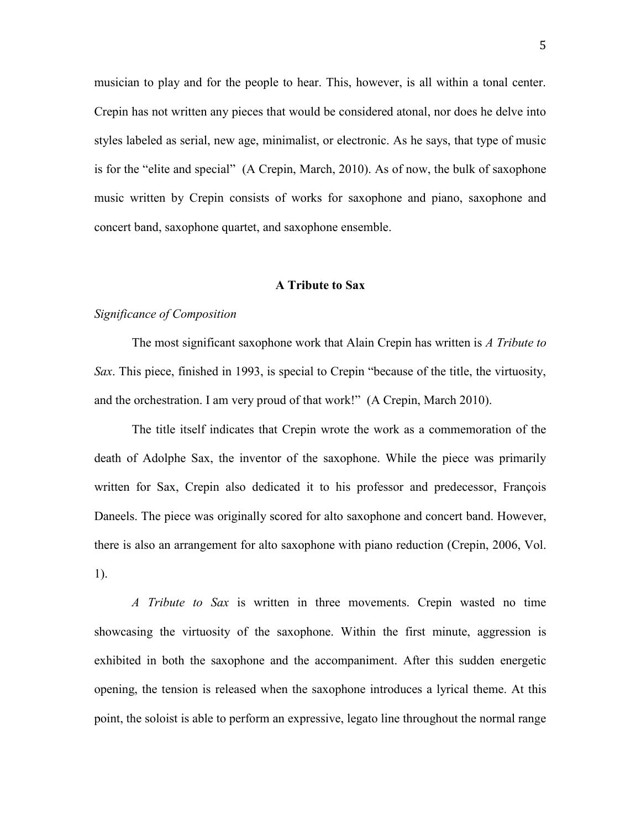musician to play and for the people to hear. This, however, is all within a tonal center. Crepin has not written any pieces that would be considered atonal, nor does he delve into styles labeled as serial, new age, minimalist, or electronic. As he says, that type of music is for the "elite and special" (A Crepin, March, 2010). As of now, the bulk of saxophone music written by Crepin consists of works for saxophone and piano, saxophone and concert band, saxophone quartet, and saxophone ensemble.

### **A Tribute to Sax**

# *Significance of Composition*

The most significant saxophone work that Alain Crepin has written is *A Tribute to Sax*. This piece, finished in 1993, is special to Crepin "because of the title, the virtuosity, and the orchestration. I am very proud of that work!" (A Crepin, March 2010).

The title itself indicates that Crepin wrote the work as a commemoration of the death of Adolphe Sax, the inventor of the saxophone. While the piece was primarily written for Sax, Crepin also dedicated it to his professor and predecessor, François Daneels. The piece was originally scored for alto saxophone and concert band. However, there is also an arrangement for alto saxophone with piano reduction (Crepin, 2006, Vol. 1).

*A Tribute to Sax* is written in three movements. Crepin wasted no time showcasing the virtuosity of the saxophone. Within the first minute, aggression is exhibited in both the saxophone and the accompaniment. After this sudden energetic opening, the tension is released when the saxophone introduces a lyrical theme. At this point, the soloist is able to perform an expressive, legato line throughout the normal range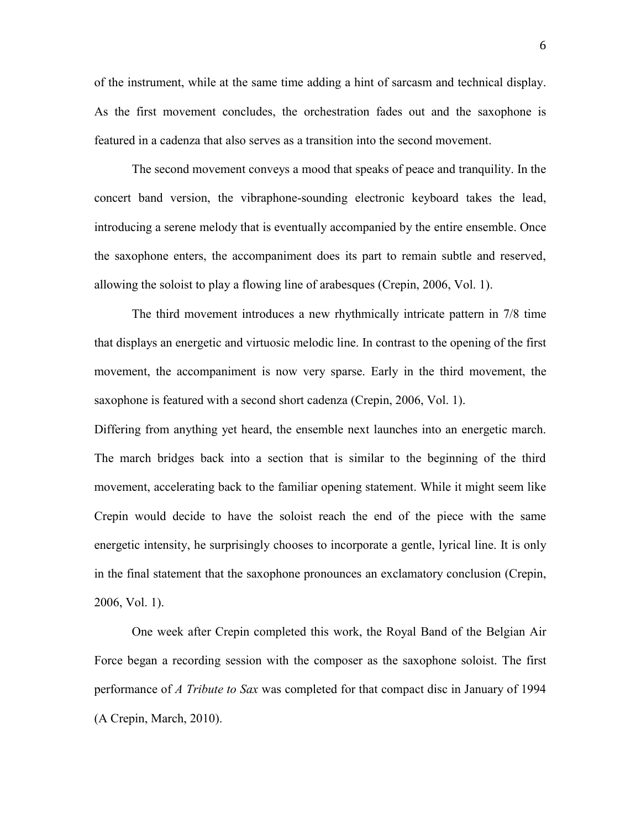of the instrument, while at the same time adding a hint of sarcasm and technical display. As the first movement concludes, the orchestration fades out and the saxophone is featured in a cadenza that also serves as a transition into the second movement.

The second movement conveys a mood that speaks of peace and tranquility. In the concert band version, the vibraphone-sounding electronic keyboard takes the lead, introducing a serene melody that is eventually accompanied by the entire ensemble. Once the saxophone enters, the accompaniment does its part to remain subtle and reserved, allowing the soloist to play a flowing line of arabesques (Crepin, 2006, Vol. 1).

The third movement introduces a new rhythmically intricate pattern in 7/8 time that displays an energetic and virtuosic melodic line. In contrast to the opening of the first movement, the accompaniment is now very sparse. Early in the third movement, the saxophone is featured with a second short cadenza (Crepin, 2006, Vol. 1).

Differing from anything yet heard, the ensemble next launches into an energetic march. The march bridges back into a section that is similar to the beginning of the third movement, accelerating back to the familiar opening statement. While it might seem like Crepin would decide to have the soloist reach the end of the piece with the same energetic intensity, he surprisingly chooses to incorporate a gentle, lyrical line. It is only in the final statement that the saxophone pronounces an exclamatory conclusion (Crepin, 2006, Vol. 1).

One week after Crepin completed this work, the Royal Band of the Belgian Air Force began a recording session with the composer as the saxophone soloist. The first performance of *A Tribute to Sax* was completed for that compact disc in January of 1994 (A Crepin, March, 2010).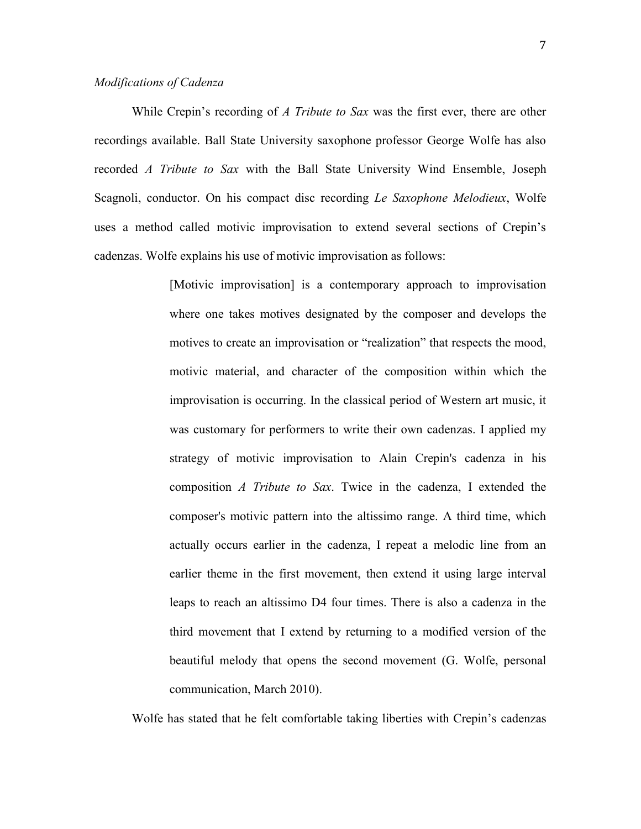# *Modifications of Cadenza*

While Crepin"s recording of *A Tribute to Sax* was the first ever, there are other recordings available. Ball State University saxophone professor George Wolfe has also recorded *A Tribute to Sax* with the Ball State University Wind Ensemble, Joseph Scagnoli, conductor. On his compact disc recording *Le Saxophone Melodieux*, Wolfe uses a method called motivic improvisation to extend several sections of Crepin"s cadenzas. Wolfe explains his use of motivic improvisation as follows:

> [Motivic improvisation] is a contemporary approach to improvisation where one takes motives designated by the composer and develops the motives to create an improvisation or "realization" that respects the mood, motivic material, and character of the composition within which the improvisation is occurring. In the classical period of Western art music, it was customary for performers to write their own cadenzas. I applied my strategy of motivic improvisation to Alain Crepin's cadenza in his composition *A Tribute to Sax*. Twice in the cadenza, I extended the composer's motivic pattern into the altissimo range. A third time, which actually occurs earlier in the cadenza, I repeat a melodic line from an earlier theme in the first movement, then extend it using large interval leaps to reach an altissimo D4 four times. There is also a cadenza in the third movement that I extend by returning to a modified version of the beautiful melody that opens the second movement (G. Wolfe, personal communication, March 2010).

Wolfe has stated that he felt comfortable taking liberties with Crepin"s cadenzas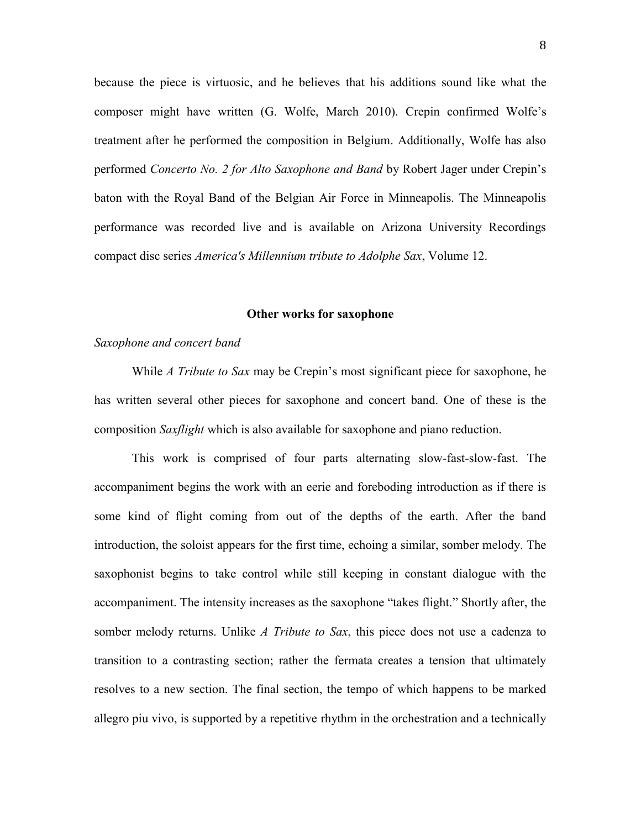because the piece is virtuosic, and he believes that his additions sound like what the composer might have written (G. Wolfe, March 2010). Crepin confirmed Wolfe"s treatment after he performed the composition in Belgium. Additionally, Wolfe has also performed *Concerto No. 2 for Alto Saxophone and Band* by Robert Jager under Crepin"s baton with the Royal Band of the Belgian Air Force in Minneapolis. The Minneapolis performance was recorded live and is available on Arizona University Recordings compact disc series *America's Millennium tribute to Adolphe Sax*, Volume 12.

## **Other works for saxophone**

# *Saxophone and concert band*

While *A Tribute to Sax* may be Crepin"s most significant piece for saxophone, he has written several other pieces for saxophone and concert band. One of these is the composition *Saxflight* which is also available for saxophone and piano reduction.

This work is comprised of four parts alternating slow-fast-slow-fast. The accompaniment begins the work with an eerie and foreboding introduction as if there is some kind of flight coming from out of the depths of the earth. After the band introduction, the soloist appears for the first time, echoing a similar, somber melody. The saxophonist begins to take control while still keeping in constant dialogue with the accompaniment. The intensity increases as the saxophone "takes flight." Shortly after, the somber melody returns. Unlike *A Tribute to Sax*, this piece does not use a cadenza to transition to a contrasting section; rather the fermata creates a tension that ultimately resolves to a new section. The final section, the tempo of which happens to be marked allegro piu vivo, is supported by a repetitive rhythm in the orchestration and a technically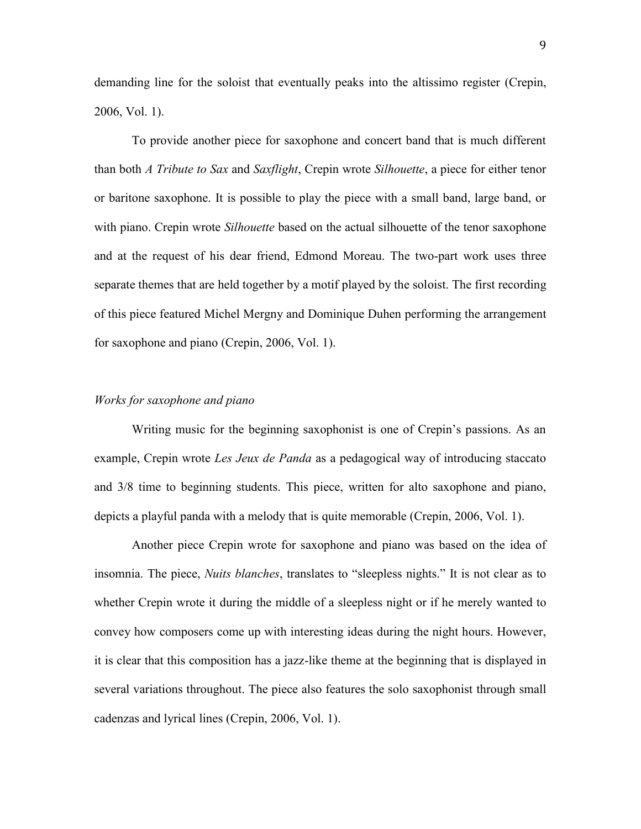demanding line for the soloist that eventually peaks into the altissimo register (Crepin, 2006, Vol. 1).

To provide another piece for saxophone and concert band that is much different than both *A Tribute to Sax* and *Saxflight*, Crepin wrote *Silhouette*, a piece for either tenor or baritone saxophone. It is possible to play the piece with a small band, large band, or with piano. Crepin wrote *Silhouette* based on the actual silhouette of the tenor saxophone and at the request of his dear friend, Edmond Moreau. The two-part work uses three separate themes that are held together by a motif played by the soloist. The first recording of this piece featured Michel Mergny and Dominique Duhen performing the arrangement for saxophone and piano (Crepin, 2006, Vol. 1).

#### *Works for saxophone and piano*

Writing music for the beginning saxophonist is one of Crepin"s passions. As an example, Crepin wrote *Les Jeux de Panda* as a pedagogical way of introducing staccato and 3/8 time to beginning students. This piece, written for alto saxophone and piano, depicts a playful panda with a melody that is quite memorable (Crepin, 2006, Vol. 1).

Another piece Crepin wrote for saxophone and piano was based on the idea of insomnia. The piece, *Nuits blanches*, translates to "sleepless nights." It is not clear as to whether Crepin wrote it during the middle of a sleepless night or if he merely wanted to convey how composers come up with interesting ideas during the night hours. However, it is clear that this composition has a jazz-like theme at the beginning that is displayed in several variations throughout. The piece also features the solo saxophonist through small cadenzas and lyrical lines (Crepin, 2006, Vol. 1).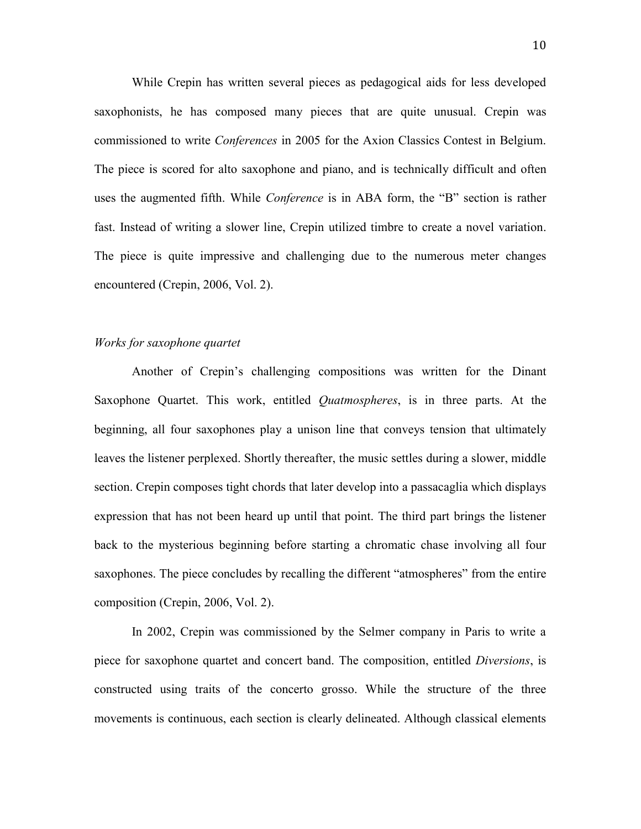While Crepin has written several pieces as pedagogical aids for less developed saxophonists, he has composed many pieces that are quite unusual. Crepin was commissioned to write *Conferences* in 2005 for the Axion Classics Contest in Belgium. The piece is scored for alto saxophone and piano, and is technically difficult and often uses the augmented fifth. While *Conference* is in ABA form, the "B" section is rather fast. Instead of writing a slower line, Crepin utilized timbre to create a novel variation. The piece is quite impressive and challenging due to the numerous meter changes encountered (Crepin, 2006, Vol. 2).

# *Works for saxophone quartet*

Another of Crepin"s challenging compositions was written for the Dinant Saxophone Quartet. This work, entitled *Quatmospheres*, is in three parts. At the beginning, all four saxophones play a unison line that conveys tension that ultimately leaves the listener perplexed. Shortly thereafter, the music settles during a slower, middle section. Crepin composes tight chords that later develop into a passacaglia which displays expression that has not been heard up until that point. The third part brings the listener back to the mysterious beginning before starting a chromatic chase involving all four saxophones. The piece concludes by recalling the different "atmospheres" from the entire composition (Crepin, 2006, Vol. 2).

In 2002, Crepin was commissioned by the Selmer company in Paris to write a piece for saxophone quartet and concert band. The composition, entitled *Diversions*, is constructed using traits of the concerto grosso. While the structure of the three movements is continuous, each section is clearly delineated. Although classical elements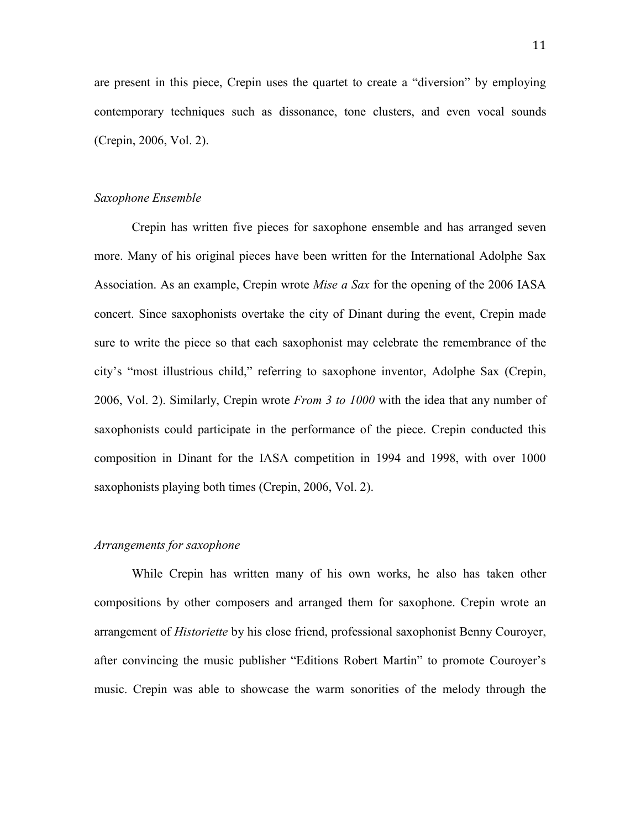are present in this piece, Crepin uses the quartet to create a "diversion" by employing contemporary techniques such as dissonance, tone clusters, and even vocal sounds (Crepin, 2006, Vol. 2).

## *Saxophone Ensemble*

Crepin has written five pieces for saxophone ensemble and has arranged seven more. Many of his original pieces have been written for the International Adolphe Sax Association. As an example, Crepin wrote *Mise a Sax* for the opening of the 2006 IASA concert. Since saxophonists overtake the city of Dinant during the event, Crepin made sure to write the piece so that each saxophonist may celebrate the remembrance of the city"s "most illustrious child," referring to saxophone inventor, Adolphe Sax (Crepin, 2006, Vol. 2). Similarly, Crepin wrote *From 3 to 1000* with the idea that any number of saxophonists could participate in the performance of the piece. Crepin conducted this composition in Dinant for the IASA competition in 1994 and 1998, with over 1000 saxophonists playing both times (Crepin, 2006, Vol. 2).

#### *Arrangements for saxophone*

While Crepin has written many of his own works, he also has taken other compositions by other composers and arranged them for saxophone. Crepin wrote an arrangement of *Historiette* by his close friend, professional saxophonist Benny Couroyer, after convincing the music publisher "Editions Robert Martin" to promote Couroyer"s music. Crepin was able to showcase the warm sonorities of the melody through the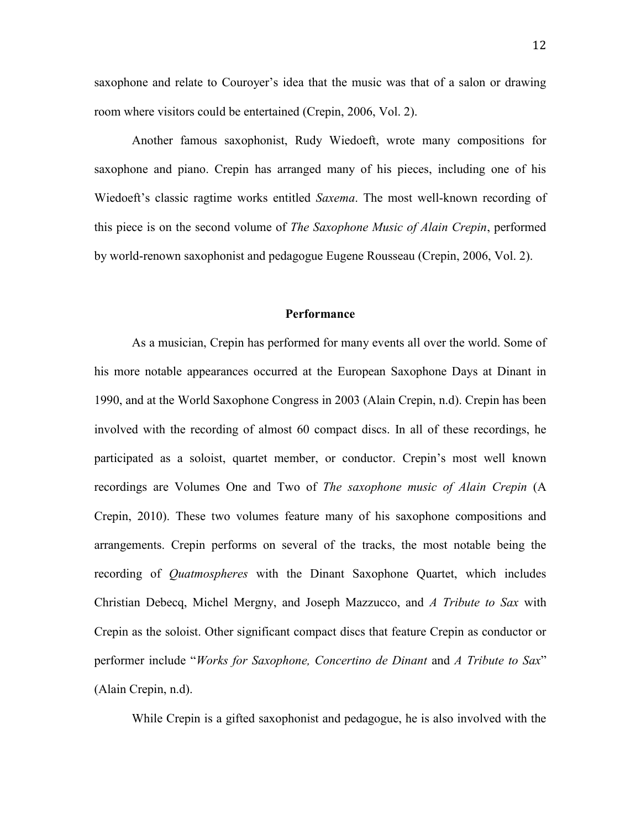saxophone and relate to Courover's idea that the music was that of a salon or drawing room where visitors could be entertained (Crepin, 2006, Vol. 2).

Another famous saxophonist, Rudy Wiedoeft, wrote many compositions for saxophone and piano. Crepin has arranged many of his pieces, including one of his Wiedoeft's classic ragtime works entitled *Saxema*. The most well-known recording of this piece is on the second volume of *The Saxophone Music of Alain Crepin*, performed by world-renown saxophonist and pedagogue Eugene Rousseau (Crepin, 2006, Vol. 2).

# **Performance**

As a musician, Crepin has performed for many events all over the world. Some of his more notable appearances occurred at the European Saxophone Days at Dinant in 1990, and at the World Saxophone Congress in 2003 (Alain Crepin, n.d). Crepin has been involved with the recording of almost 60 compact discs. In all of these recordings, he participated as a soloist, quartet member, or conductor. Crepin"s most well known recordings are Volumes One and Two of *The saxophone music of Alain Crepin* (A Crepin, 2010). These two volumes feature many of his saxophone compositions and arrangements. Crepin performs on several of the tracks, the most notable being the recording of *Quatmospheres* with the Dinant Saxophone Quartet, which includes Christian Debecq, Michel Mergny, and Joseph Mazzucco, and *A Tribute to Sax* with Crepin as the soloist. Other significant compact discs that feature Crepin as conductor or performer include "*Works for Saxophone, Concertino de Dinant* and *A Tribute to Sax*" (Alain Crepin, n.d).

While Crepin is a gifted saxophonist and pedagogue, he is also involved with the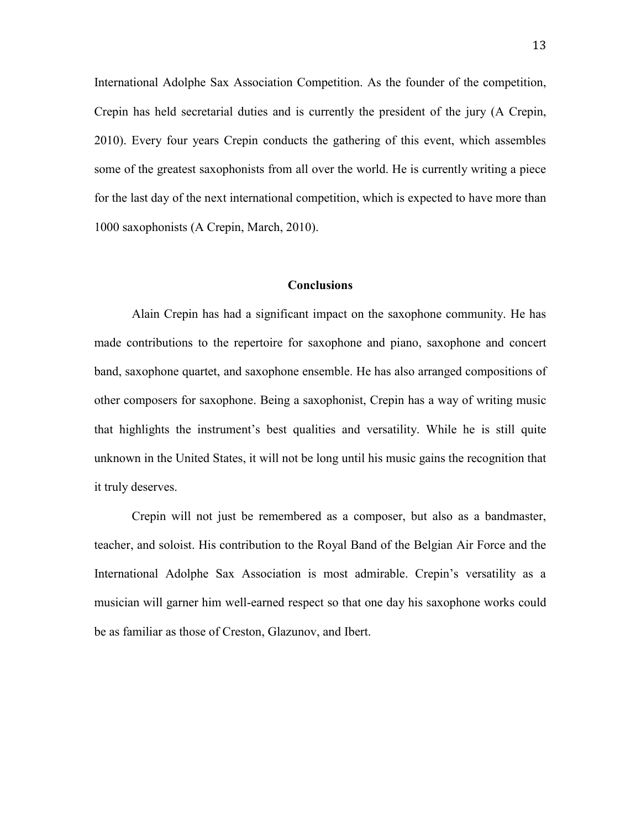International Adolphe Sax Association Competition. As the founder of the competition, Crepin has held secretarial duties and is currently the president of the jury (A Crepin, 2010). Every four years Crepin conducts the gathering of this event, which assembles some of the greatest saxophonists from all over the world. He is currently writing a piece for the last day of the next international competition, which is expected to have more than 1000 saxophonists (A Crepin, March, 2010).

### **Conclusions**

Alain Crepin has had a significant impact on the saxophone community. He has made contributions to the repertoire for saxophone and piano, saxophone and concert band, saxophone quartet, and saxophone ensemble. He has also arranged compositions of other composers for saxophone. Being a saxophonist, Crepin has a way of writing music that highlights the instrument"s best qualities and versatility. While he is still quite unknown in the United States, it will not be long until his music gains the recognition that it truly deserves.

Crepin will not just be remembered as a composer, but also as a bandmaster, teacher, and soloist. His contribution to the Royal Band of the Belgian Air Force and the International Adolphe Sax Association is most admirable. Crepin"s versatility as a musician will garner him well-earned respect so that one day his saxophone works could be as familiar as those of Creston, Glazunov, and Ibert.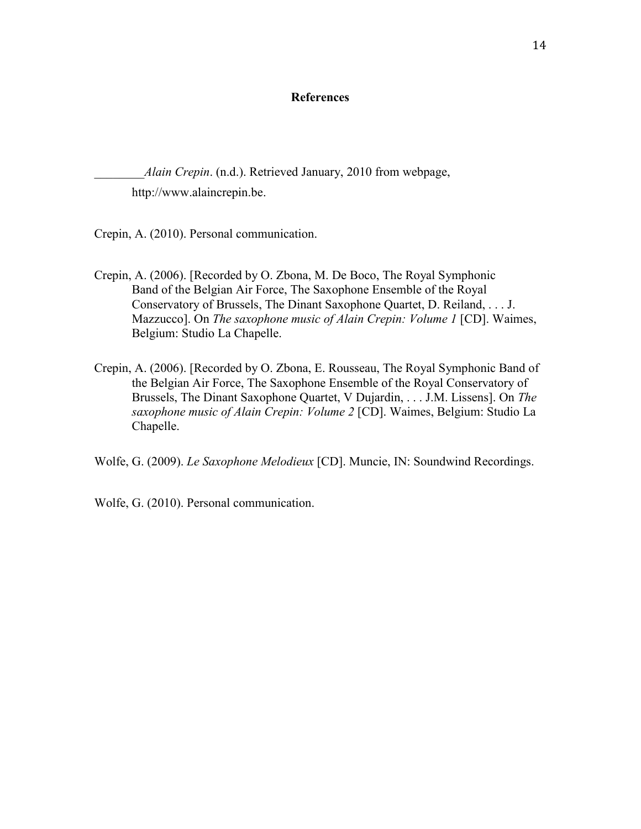# **References**

*\_\_\_\_\_\_\_\_Alain Crepin*. (n.d.). Retrieved January, 2010 from webpage, http://www.alaincrepin.be.

Crepin, A. (2010). Personal communication.

- Crepin, A. (2006). [Recorded by O. Zbona, M. De Boco, The Royal Symphonic Band of the Belgian Air Force, The Saxophone Ensemble of the Royal Conservatory of Brussels, The Dinant Saxophone Quartet, D. Reiland, . . . J. Mazzucco]. On *The saxophone music of Alain Crepin: Volume 1* [CD]. Waimes, Belgium: Studio La Chapelle.
- Crepin, A. (2006). [Recorded by O. Zbona, E. Rousseau, The Royal Symphonic Band of the Belgian Air Force, The Saxophone Ensemble of the Royal Conservatory of Brussels, The Dinant Saxophone Quartet, V Dujardin, . . . J.M. Lissens]. On *The saxophone music of Alain Crepin: Volume 2* [CD]. Waimes, Belgium: Studio La Chapelle.

Wolfe, G. (2009). *Le Saxophone Melodieux* [CD]. Muncie, IN: Soundwind Recordings.

Wolfe, G. (2010). Personal communication.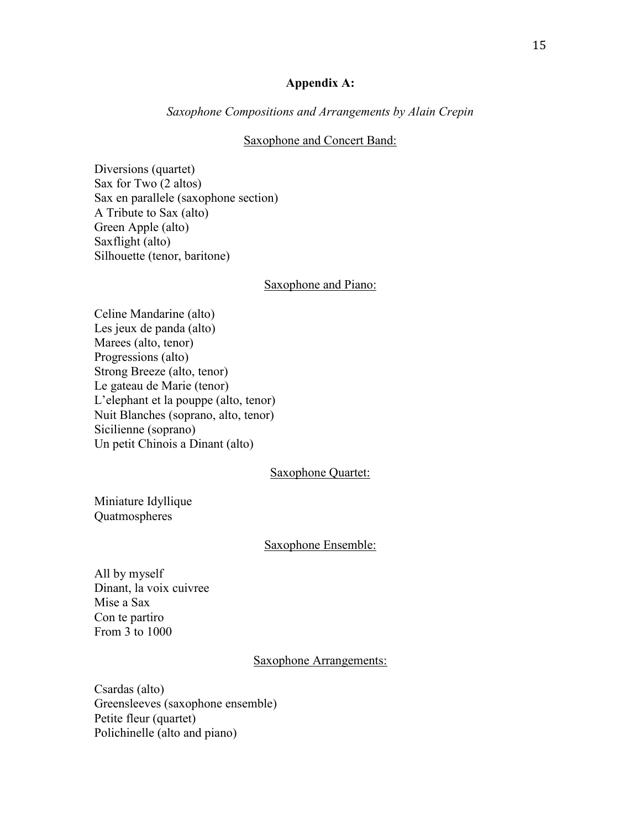# **Appendix A:**

# *Saxophone Compositions and Arrangements by Alain Crepin*

#### Saxophone and Concert Band:

Diversions (quartet) Sax for Two (2 altos) Sax en parallele (saxophone section) A Tribute to Sax (alto) Green Apple (alto) Saxflight (alto) Silhouette (tenor, baritone)

### Saxophone and Piano:

Celine Mandarine (alto) Les jeux de panda (alto) Marees (alto, tenor) Progressions (alto) Strong Breeze (alto, tenor) Le gateau de Marie (tenor) L"elephant et la pouppe (alto, tenor) Nuit Blanches (soprano, alto, tenor) Sicilienne (soprano) Un petit Chinois a Dinant (alto)

## Saxophone Quartet:

[Miniature Idyllique](http://www.alaincrepin.be/template_subpage.asp?pag_id=44&spa_id=218&lng_iso=EN) Quatmospheres

#### Saxophone Ensemble:

All by myself Dinant, la voix cuivree Mise a Sax Con te partiro From 3 to 1000

#### Saxophone Arrangements:

Csardas (alto) Greensleeves (saxophone ensemble) Petite fleur (quartet) Polichinelle (alto and piano)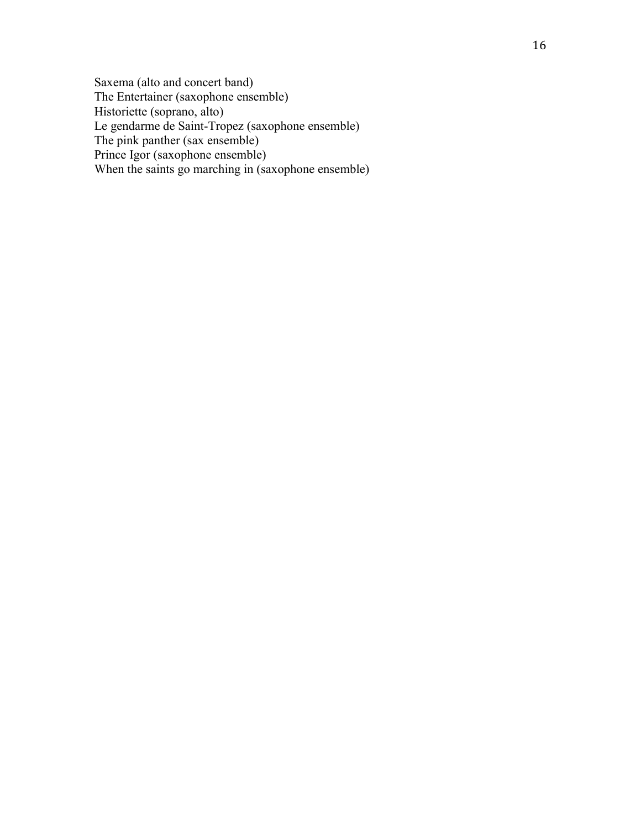Saxema (alto and concert band) The Entertainer (saxophone ensemble) Historiette (soprano, alto) Le gendarme de Saint -Tropez (saxophone ensemble) The pink panther (sax ensemble) Prince Igor (saxophone ensemble) When the saints go marching in (saxophone ensemble)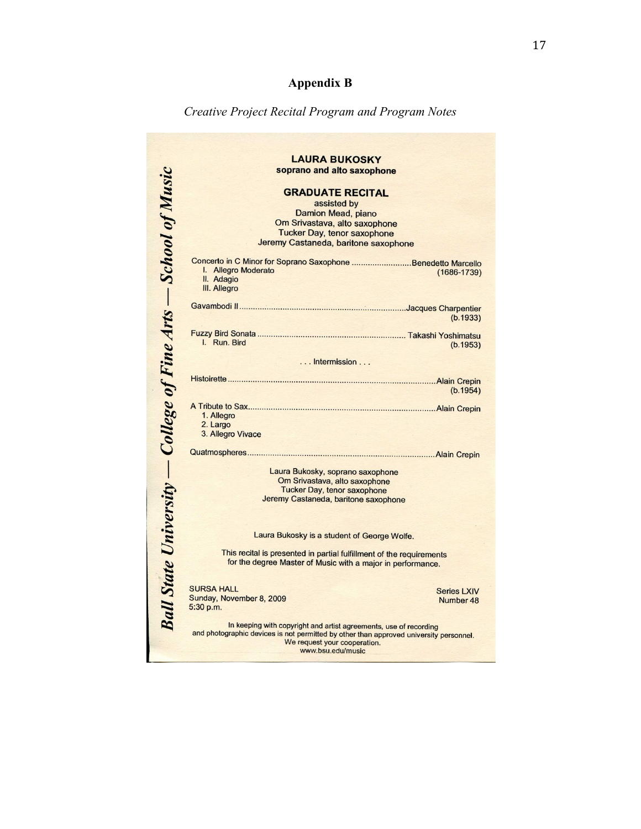# **Appendix B**

# *Creative Project Recital Program and Program Notes*

|                                                                       | <b>LAURA BUKOSKY</b>                                                                                                                |
|-----------------------------------------------------------------------|-------------------------------------------------------------------------------------------------------------------------------------|
| <b>Ball State University – College of Fine Arts – School of Music</b> | soprano and alto saxophone                                                                                                          |
|                                                                       | <b>GRADUATE RECITAL</b>                                                                                                             |
|                                                                       | assisted by                                                                                                                         |
|                                                                       | Damion Mead, piano                                                                                                                  |
|                                                                       | Om Srivastava, alto saxophone                                                                                                       |
|                                                                       | <b>Tucker Day, tenor saxophone</b>                                                                                                  |
|                                                                       | Jeremy Castaneda, baritone saxophone                                                                                                |
|                                                                       | Concerto in C Minor for Soprano Saxophone Benedetto Marcello                                                                        |
|                                                                       | I. Allegro Moderato<br>$(1686 - 1739)$                                                                                              |
|                                                                       | II. Adagio                                                                                                                          |
|                                                                       | III. Allegro                                                                                                                        |
|                                                                       |                                                                                                                                     |
|                                                                       | (b.1933)                                                                                                                            |
|                                                                       |                                                                                                                                     |
|                                                                       | I. Run. Bird                                                                                                                        |
|                                                                       | (b.1953)                                                                                                                            |
|                                                                       | Intermission                                                                                                                        |
|                                                                       |                                                                                                                                     |
|                                                                       |                                                                                                                                     |
|                                                                       | (b.1954)                                                                                                                            |
|                                                                       |                                                                                                                                     |
|                                                                       | 1. Allegro                                                                                                                          |
|                                                                       | 2. Largo<br>3. Allegro Vivace                                                                                                       |
|                                                                       |                                                                                                                                     |
|                                                                       |                                                                                                                                     |
|                                                                       | Laura Bukosky, soprano saxophone                                                                                                    |
|                                                                       | Om Srivastava, alto saxophone                                                                                                       |
|                                                                       | <b>Tucker Day, tenor saxophone</b>                                                                                                  |
|                                                                       | Jeremy Castaneda, baritone saxophone                                                                                                |
|                                                                       |                                                                                                                                     |
|                                                                       |                                                                                                                                     |
|                                                                       | Laura Bukosky is a student of George Wolfe.                                                                                         |
|                                                                       |                                                                                                                                     |
|                                                                       | This recital is presented in partial fulfillment of the requirements<br>for the degree Master of Music with a major in performance. |
|                                                                       |                                                                                                                                     |
|                                                                       |                                                                                                                                     |
|                                                                       | <b>SURSA HALL</b><br><b>Series LXIV</b>                                                                                             |
|                                                                       | Sunday, November 8, 2009<br>Number 48<br>5:30 p.m.                                                                                  |
|                                                                       |                                                                                                                                     |
|                                                                       | In keeping with copyright and artist agreements, use of recording                                                                   |
|                                                                       | and photographic devices is not permitted by other than approved university personnel.                                              |
|                                                                       | We request your cooperation.<br>www.bsu.edu/music                                                                                   |
|                                                                       |                                                                                                                                     |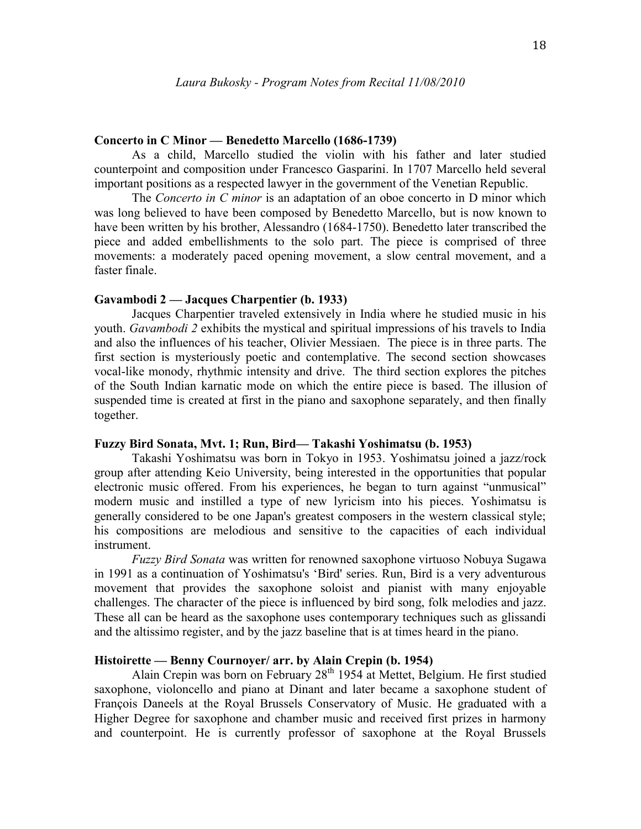#### **Concerto in C Minor — Benedetto Marcello (1686-1739)**

As a child, Marcello studied the violin with his father and later studied counterpoint and composition under [Francesco Gasparini.](http://www.hoasm.org/VIIIA/Gasparini.html) In 1707 Marcello held several important positions as a respected lawyer in the government of the Venetian Republic.

The *Concerto in C minor* is an adaptation of an oboe concerto in D minor which was long believed to have been composed by Benedetto Marcello, but is now known to have been written by his brother, Alessandro (1684-1750). Benedetto later transcribed the piece and added embellishments to the solo part. The piece is comprised of three movements: a moderately paced opening movement, a slow central movement, and a faster finale.

## **Gavambodi 2 — Jacques Charpentier (b. 1933)**

Jacques Charpentier traveled extensively in India where he studied music in his youth. *Gavambodi 2* exhibits the mystical and spiritual impressions of his travels to India and also the influences of his teacher, Olivier Messiaen. The piece is in three parts. The first section is mysteriously poetic and contemplative. The second section showcases vocal-like monody, rhythmic intensity and drive. The third section explores the pitches of the South Indian karnatic mode on which the entire piece is based. The illusion of suspended time is created at first in the piano and saxophone separately, and then finally together.

## **Fuzzy Bird Sonata, Mvt. 1; Run, Bird— Takashi Yoshimatsu (b. 1953)**

Takashi Yoshimatsu was born in Tokyo in 1953. Yoshimatsu joined a jazz/rock group after attending Keio University, being interested in the opportunities that popular electronic music offered. From his experiences, he began to turn against "unmusical" modern music and instilled a type of new lyricism into his pieces. Yoshimatsu is generally considered to be one Japan's greatest composers in the western classical style; his compositions are melodious and sensitive to the capacities of each individual instrument.

*Fuzzy Bird Sonata* was written for renowned saxophone virtuoso Nobuya Sugawa in 1991 as a continuation of Yoshimatsu's "Bird' series. Run, Bird is a very adventurous movement that provides the saxophone soloist and pianist with many enjoyable challenges. The character of the piece is influenced by bird song, folk melodies and jazz. These all can be heard as the saxophone uses contemporary techniques such as glissandi and the altissimo register, and by the jazz baseline that is at times heard in the piano.

# **Histoirette — Benny Cournoyer/ arr. by Alain Crepin (b. 1954)**

Alain Crepin was born on February 28<sup>th</sup> 1954 at Mettet, Belgium. He first studied saxophone, violoncello and piano at Dinant and later became a saxophone student of François Daneels at the Royal Brussels Conservatory of Music. He graduated with a Higher Degree for saxophone and chamber music and received first prizes in harmony and counterpoint. He is currently professor of saxophone at the Royal Brussels